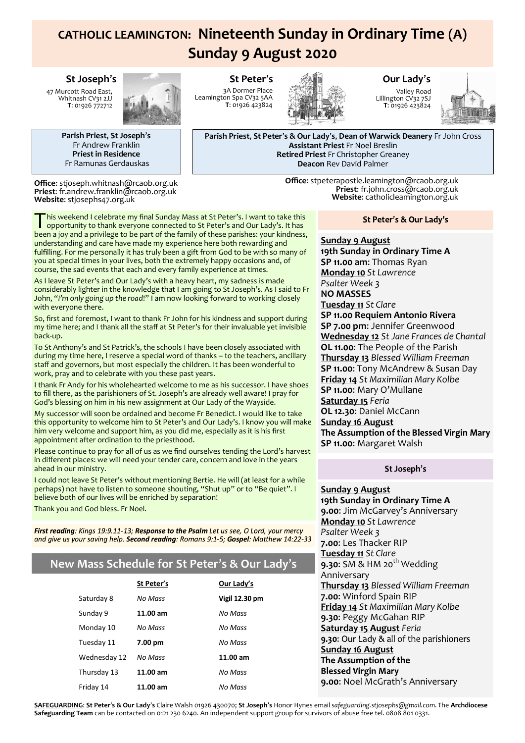# **CATHOLIC LEAMINGTON: Nineteenth Sunday in Ordinary Time (A) Sunday 9 August 2020**

#### **St Joseph**'**s**

47 Murcott Road East, Whitnash CV31 2JJ **T**: 01926 772712



**Parish Priest**, **St Joseph**'**s** Fr Andrew Franklin **Priest in Residence** Fr Ramunas Gerdauskas

**Office**: stjoseph.whitnash@rcaob.org.uk **Priest**: fr.andrew.franklin@rcaob.org.uk **Website**: stjosephs47.org.uk

**St Peter**'**s** 3A Dormer Place Leamington Spa CV32 5AA **T**: 01926 423824



**Our Lady**'**s**

Valley Road Lillington CV32 7SJ **T**: 01926 423824



**Parish Priest**, **St Peter**'**s & Our Lady**'**s**, **Dean of Warwick Deanery** Fr John Cross **Assistant Priest** Fr Noel Breslin **Retired Priest** Fr Christopher Greaney **Deacon** Rev David Palmer

> **Office**: stpeterapostle.leamington@rcaob.org.uk **Priest**: fr.john.cross@rcaob.org.uk **Website**: catholicleamington.org.uk

This weekend I celebrate my final Sunday Mass at St Peter's. I want to take this opportunity to thank everyone connected to St Peter's and Our Lady's. It has his weekend I celebrate my final Sunday Mass at St Peter's. I want to take this been a joy and a privilege to be part of the family of these parishes: your kindness, understanding and care have made my experience here both rewarding and fulfilling. For me personally it has truly been a gift from God to be with so many of you at special times in your lives, both the extremely happy occasions and, of course, the sad events that each and every family experience at times.

As I leave St Peter's and Our Lady's with a heavy heart, my sadness is made considerably lighter in the knowledge that I am going to St Joseph's. As I said to Fr John, "*I'm only going up the road*!" I am now looking forward to working closely with everyone there.

So, first and foremost, I want to thank Fr John for his kindness and support during my time here; and I thank all the staff at St Peter's for their invaluable yet invisible back-up.

To St Anthony's and St Patrick's, the schools I have been closely associated with during my time here, I reserve a special word of thanks – to the teachers, ancillary staff and governors, but most especially the children. It has been wonderful to work, pray and to celebrate with you these past years.

I thank Fr Andy for his wholehearted welcome to me as his successor. I have shoes to fill there, as the parishioners of St. Joseph's are already well aware! I pray for God's blessing on him in his new assignment at Our Lady of the Wayside.

My successor will soon be ordained and become Fr Benedict. I would like to take this opportunity to welcome him to St Peter's and Our Lady's. I know you will make him very welcome and support him, as you did me, especially as it is his first appointment after ordination to the priesthood.

Please continue to pray for all of us as we find ourselves tending the Lord's harvest in different places: we will need your tender care, concern and love in the years ahead in our ministry.

I could not leave St Peter's without mentioning Bertie. He will (at least for a while perhaps) not have to listen to someone shouting, "Shut up" or to "Be quiet". I believe both of our lives will be enriched by separation!

Thank you and God bless. Fr Noel.

First reading: Kings 19:9.11-13; Response to the Psalm Let us see, O Lord, your mercy and give us your saving help. Second reading: Romans 9:1-5; Gospel: Matthew 14:22-33

# **New Mass Schedule for St Peter**'**s & Our Lady**'**s**

|              | St Peter's | Our Lady's            |
|--------------|------------|-----------------------|
| Saturday 8   | No Mass    | <b>Vigil 12.30 pm</b> |
| Sunday 9     | $11.00$ am | No Mass               |
| Monday 10    | No Mass    | No Mass               |
| Tuesday 11   | 7.00 pm    | No Mass               |
| Wednesday 12 | No Mass    | $11.00$ am            |
| Thursday 13  | 11.00 am   | No Mass               |
| Friday 14    | 11.00 am   | No Mass               |

St Peter's & Our Lady's

**Sunday 9 August 19th Sunday in Ordinary Time A SP 11.00 am**: Thomas Ryan **Monday 10** *St Lawrence Psalter Week 3* **NO MASSES Tuesday 11** *St Clare* **SP 11.00 Requiem Antonio Rivera SP 7.00 pm**: Jennifer Greenwood **Wednesday 12** *St Jane Frances de Chantal* **OL 11.00**: The People of the Parish **Thursday 13** *Blessed William Freeman* **SP 11.00**: Tony McAndrew & Susan Day **Friday 14** *St Maximilian Mary Kolbe* **SP 11.00**: Mary O'Mullane **Saturday 15** *Feria* **OL 12.30**: Daniel McCann **Sunday 16 August SP 11.00**: Margaret Walsh

#### St Joseph's

#### **Sunday 9 August**

**19th Sunday in Ordinary Time A 9.00**: Jim McGarvey's Anniversary **Monday 10** *St Lawrence Psalter Week 3* **7.00**: Les Thacker RIP **Tuesday 11** *St Clare* **9.30:** SM & HM 20<sup>th</sup> Wedding Anniversary **Thursday 13** *Blessed William Freeman* **7.00**: Winford Spain RIP **Friday 14** *St Maximilian Mary Kolbe* **9.30**: Peggy McGahan RIP **Saturday 15 August** *Feria* 9.30: Our Lady & all of the parishioners **Sunday 16 August Blessed Virgin Mary 9.00**: Noel McGrath's Anniversary

**SAFEGUARDING**: **St Peter**'**s & Our Lady**'**s** Claire Walsh 01926 430070; **St Joseph**'**s** Honor Hynes email *safeguarding.stjosephs@gmail.com.* The **Archdiocese Safeguarding Team** can be contacted on 0121 230 6240. An independent support group for survivors of abuse free tel. 0808 801 0331.